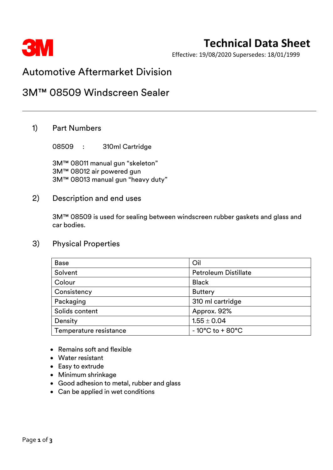

# **Technical Data Sheet**

Effective: 19/08/2020 Supersedes: 18/01/1999

# Automotive Aftermarket Division

## 3M™ 08509 Windscreen Sealer

### 1) Part Numbers

08509 : 310ml Cartridge

3M™ 08011 manual gun "skeleton" 3M™ 08012 air powered gun 3M™ 08013 manual gun "heavy duty"

#### 2) Description and end uses

3M™ 08509 is used for sealing between windscreen rubber gaskets and glass and car bodies.

### 3) Physical Properties

| <b>Base</b>            | Oil                                  |  |
|------------------------|--------------------------------------|--|
| Solvent                | <b>Petroleum Distillate</b>          |  |
| Colour                 | <b>Black</b>                         |  |
| Consistency            | <b>Buttery</b>                       |  |
| Packaging              | 310 ml cartridge                     |  |
| Solids content         | Approx. 92%                          |  |
| Density                | $1.55 \pm 0.04$                      |  |
| Temperature resistance | $-10^{\circ}$ C to + 80 $^{\circ}$ C |  |

- Remains soft and flexible
- Water resistant
- Easy to extrude
- Minimum shrinkage
- Good adhesion to metal, rubber and glass
- Can be applied in wet conditions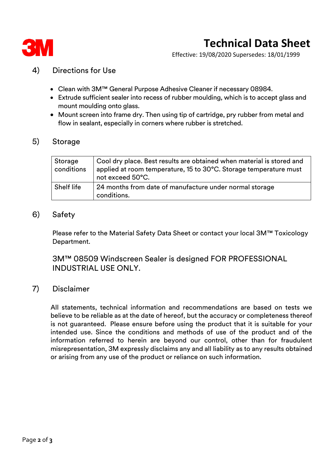

# **Technical Data Sheet**

Effective: 19/08/2020 Supersedes: 18/01/1999

## 4) Directions for Use

- Clean with 3M™ General Purpose Adhesive Cleaner if necessary 08984.
- Extrude sufficient sealer into recess of rubber moulding, which is to accept glass and mount moulding onto glass.
- Mount screen into frame dry. Then using tip of cartridge, pry rubber from metal and flow in sealant, especially in corners where rubber is stretched.

#### 5) Storage

| Storage<br>conditions | Cool dry place. Best results are obtained when material is stored and<br>applied at room temperature, 15 to 30°C. Storage temperature must<br>not exceed 50°C. |
|-----------------------|----------------------------------------------------------------------------------------------------------------------------------------------------------------|
| Shelf life            | 24 months from date of manufacture under normal storage<br>conditions.                                                                                         |

#### 6) Safety

Please refer to the Material Safety Data Sheet or contact your local 3M™ Toxicology Department.

3M™ 08509 Windscreen Sealer is designed FOR PROFESSIONAL INDUSTRIAL USE ONLY.

### 7) Disclaimer

All statements, technical information and recommendations are based on tests we believe to be reliable as at the date of hereof, but the accuracy or completeness thereof is not guaranteed. Please ensure before using the product that it is suitable for your intended use. Since the conditions and methods of use of the product and of the information referred to herein are beyond our control, other than for fraudulent misrepresentation, 3M expressly disclaims any and all liability as to any results obtained or arising from any use of the product or reliance on such information.